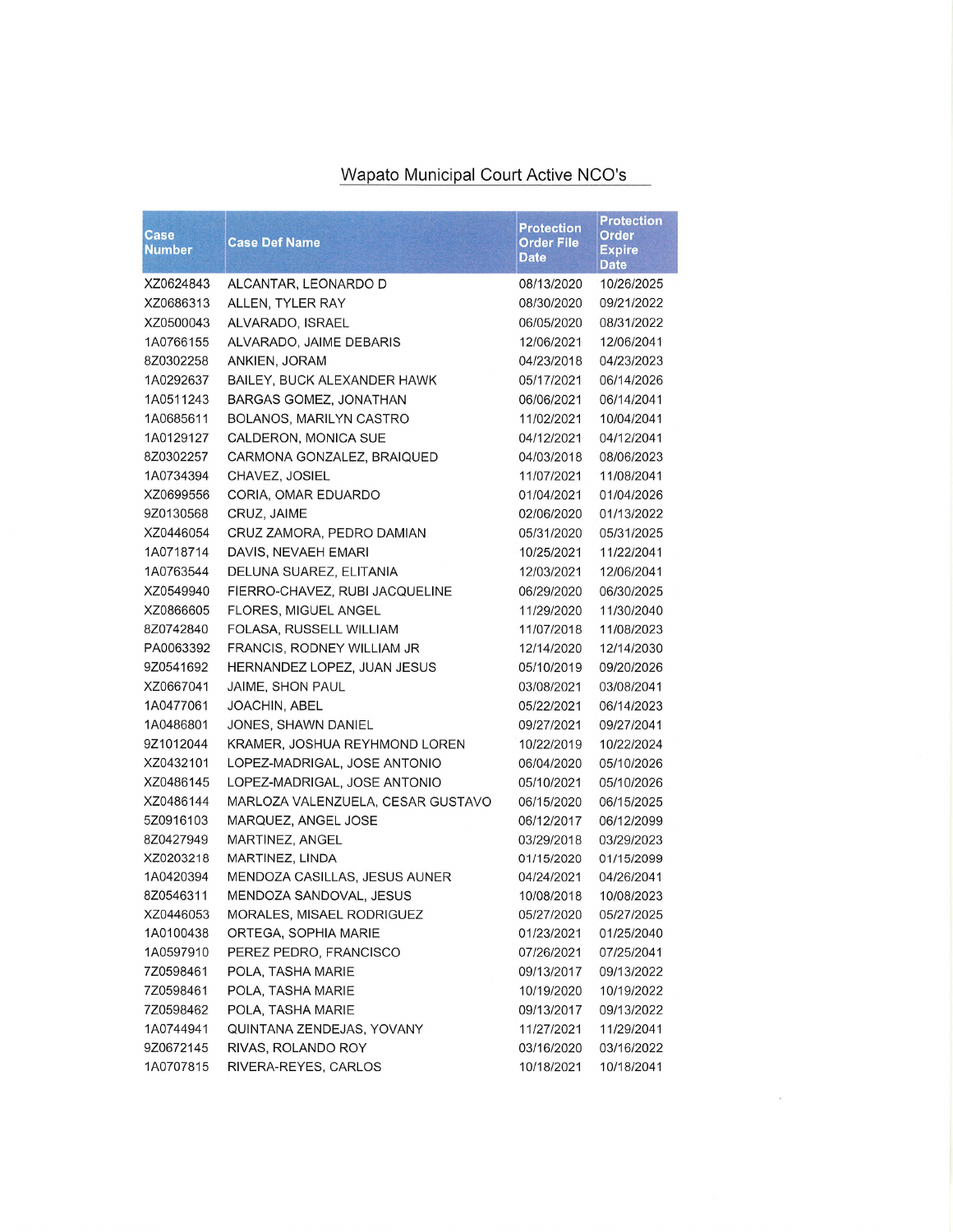## Wapato Municipal Court Active NCO's

| Case<br><u>Number</u> | <b>Case Def Name</b>              | <b>Protection</b><br><b>Order File</b><br><b>Date</b> | <b>Protection</b><br><b>Order</b><br><b>Expire</b><br>Date |
|-----------------------|-----------------------------------|-------------------------------------------------------|------------------------------------------------------------|
| XZ0624843             | ALCANTAR, LEONARDO D              | 08/13/2020                                            | 10/26/2025                                                 |
| XZ0686313             | ALLEN, TYLER RAY                  | 08/30/2020                                            | 09/21/2022                                                 |
| XZ0500043             | ALVARADO, ISRAEL                  | 06/05/2020                                            | 08/31/2022                                                 |
| 1A0766155             | ALVARADO, JAIME DEBARIS           | 12/06/2021                                            | 12/06/2041                                                 |
| 8Z0302258             | ANKIEN, JORAM                     | 04/23/2018                                            | 04/23/2023                                                 |
| 1A0292637             | BAILEY, BUCK ALEXANDER HAWK       | 05/17/2021                                            | 06/14/2026                                                 |
| 1A0511243             | BARGAS GOMEZ, JONATHAN            | 06/06/2021                                            | 06/14/2041                                                 |
| 1A0685611             | BOLANOS, MARILYN CASTRO           | 11/02/2021                                            | 10/04/2041                                                 |
| 1A0129127             | CALDERON, MONICA SUE              | 04/12/2021                                            | 04/12/2041                                                 |
| 8Z0302257             | CARMONA GONZALEZ, BRAIQUED        | 04/03/2018                                            | 08/06/2023                                                 |
| 1A0734394             | CHAVEZ, JOSIEL                    | 11/07/2021                                            | 11/08/2041                                                 |
| XZ0699556             | CORIA, OMAR EDUARDO               | 01/04/2021                                            | 01/04/2026                                                 |
| 9Z0130568             | CRUZ, JAIME                       | 02/06/2020                                            | 01/13/2022                                                 |
| XZ0446054             | CRUZ ZAMORA, PEDRO DAMIAN         | 05/31/2020                                            | 05/31/2025                                                 |
| 1A0718714             | DAVIS, NEVAEH EMARI               | 10/25/2021                                            | 11/22/2041                                                 |
| 1A0763544             | DELUNA SUAREZ, ELITANIA           | 12/03/2021                                            | 12/06/2041                                                 |
| XZ0549940             | FIERRO-CHAVEZ, RUBI JACQUELINE    | 06/29/2020                                            | 06/30/2025                                                 |
| XZ0866605             | FLORES, MIGUEL ANGEL              | 11/29/2020                                            | 11/30/2040                                                 |
| 8Z0742840             | FOLASA, RUSSELL WILLIAM           | 11/07/2018                                            | 11/08/2023                                                 |
| PA0063392             | FRANCIS, RODNEY WILLIAM JR        | 12/14/2020                                            | 12/14/2030                                                 |
| 9Z0541692             | HERNANDEZ LOPEZ, JUAN JESUS       | 05/10/2019                                            | 09/20/2026                                                 |
| XZ0667041             | JAIME, SHON PAUL                  | 03/08/2021                                            | 03/08/2041                                                 |
| 1A0477061             | <b>JOACHIN, ABEL</b>              | 05/22/2021                                            | 06/14/2023                                                 |
| 1A0486801             | JONES, SHAWN DANIEL               | 09/27/2021                                            | 09/27/2041                                                 |
| 9Z1012044             | KRAMER, JOSHUA REYHMOND LOREN     | 10/22/2019                                            | 10/22/2024                                                 |
| XZ0432101             | LOPEZ-MADRIGAL, JOSE ANTONIO      | 06/04/2020                                            | 05/10/2026                                                 |
| XZ0486145             | LOPEZ-MADRIGAL, JOSE ANTONIO      | 05/10/2021                                            | 05/10/2026                                                 |
| XZ0486144             | MARLOZA VALENZUELA, CESAR GUSTAVO | 06/15/2020                                            | 06/15/2025                                                 |
| 5Z0916103             | MARQUEZ, ANGEL JOSE               | 06/12/2017                                            | 06/12/2099                                                 |
| 8Z0427949             | MARTINEZ, ANGEL                   | 03/29/2018                                            | 03/29/2023                                                 |
| XZ0203218             | MARTINEZ, LINDA                   | 01/15/2020                                            | 01/15/2099                                                 |
| 1A0420394             | MENDOZA CASILLAS, JESUS AUNER     | 04/24/2021                                            | 04/26/2041                                                 |
| 8Z0546311             | MENDOZA SANDOVAL, JESUS           | 10/08/2018                                            | 10/08/2023                                                 |
| XZ0446053             | MORALES, MISAEL RODRIGUEZ         | 05/27/2020                                            | 05/27/2025                                                 |
| 1A0100438             | ORTEGA, SOPHIA MARIE              | 01/23/2021                                            | 01/25/2040                                                 |
| 1A0597910             | PEREZ PEDRO, FRANCISCO            | 07/26/2021                                            | 07/25/2041                                                 |
| 7Z0598461             | POLA, TASHA MARIE                 | 09/13/2017                                            | 09/13/2022                                                 |
| 7Z0598461             | POLA, TASHA MARIE                 | 10/19/2020                                            | 10/19/2022                                                 |
| 7Z0598462             | POLA, TASHA MARIE                 | 09/13/2017                                            | 09/13/2022                                                 |
| 1A0744941             | QUINTANA ZENDEJAS, YOVANY         | 11/27/2021                                            | 11/29/2041                                                 |
| 9Z0672145             | RIVAS, ROLANDO ROY                | 03/16/2020                                            | 03/16/2022                                                 |
| 1A0707815             | RIVERA-REYES, CARLOS              | 10/18/2021                                            | 10/18/2041                                                 |

 $\langle \mathbf{a} \rangle$